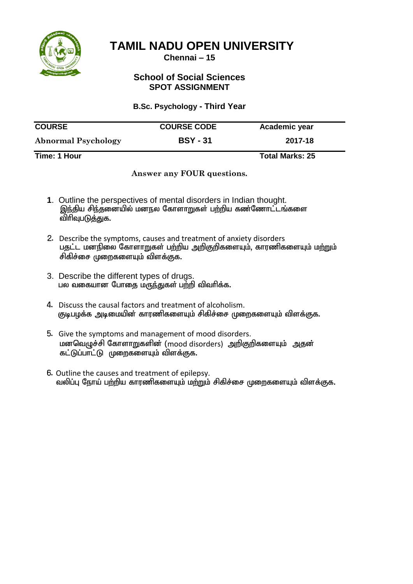

**Chennai – 15**

## **School of Social Sciences SPOT ASSIGNMENT**

### **B.Sc. Psychology - Third Year**

| <b>COURSE</b>              | <b>COURSE CODE</b> | Academic year          |  |
|----------------------------|--------------------|------------------------|--|
| <b>Abnormal Psychology</b> | <b>BSY - 31</b>    | 2017-18                |  |
| Time: 1 Hour               |                    | <b>Total Marks: 25</b> |  |

### **Answer any FOUR questions.**

- **1**. Outline the perspectives of mental disorders in Indian thought. இந்திய சிந்தனையில் மனநல கோளாறுகள் பற்றிய கண்ணோட்டங்களை விரிவுபடுக்குக.
- 2. Describe the symptoms, causes and treatment of anxiety disorders பதட்ட மனநிலை கோளாறுகள் பற்றிய அறிகுறிகளையும், காரணிகளையும் மற்றும் சிகிச்சை முறைகளையம் விளக்குக $\cdot$
- 3. Describe the different types of drugs. பல வகையான போதை மருந்துகள் பற்றி விவரிக்க.
- 4. Discuss the causal factors and treatment of alcoholism. குடிபழக்க அடிமையின் காரணிகளையும் சிகிச்சை முறைகளையும் விளக்குக.
- 5. Give the symptoms and management of mood disorders. மனவெழுச்சி கோளாறுகளின் (mood disorders) அறிகுறிகளையும் அதன் கட்டுப்பாட்டு முறைகளையும் விளக்குக.
- 6. Outline the causes and treatment of epilepsy. வலிப்பு நோய் பற்றிய காரணிகளையும் மற்றும் சிகிச்சை முறைகளையும் விளக்குக.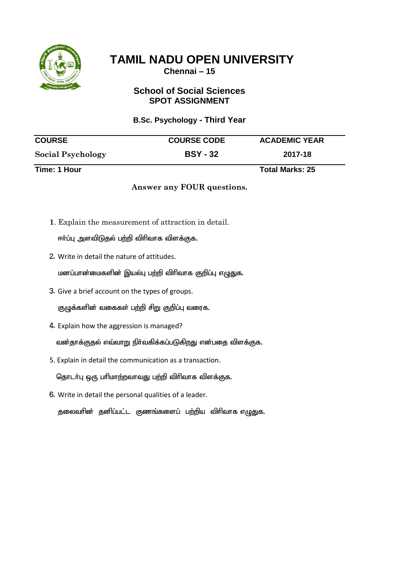

**Chennai – 15**

# **School of Social Sciences SPOT ASSIGNMENT**

#### **B.Sc. Psychology - Third Year**

| <b>COURSE</b>     | <b>COURSE CODE</b> | <b>ACADEMIC YEAR</b>   |  |
|-------------------|--------------------|------------------------|--|
| Social Psychology | <b>BSY - 32</b>    | 2017-18                |  |
| Time: 1 Hour      |                    | <b>Total Marks: 25</b> |  |

### **Answer any FOUR questions.**

**1**. Explain the measurement of attraction in detail.

ஈர்ப்பு அளவிடுதல் பற்றி விரிவாக விளக்குக.

2. Write in detail the nature of attitudes.

மனப்பான்மைகளின் இயல்பு பற்றி விரிவாக குறிப்பு எழுதுக.

- 3. Give a brief account on the types of groups. குழுக்களின் வகைகள் பற்றி சிறு குறிப்பு வரைக.
- 4. Explain how the aggression is managed? வன்தாக்குதல் எவ்வாறு நிர்வகிக்கப்படுகிறது என்பதை விளக்குக.
- 5. Explain in detail the communication as a transaction.

தொடர்பு ஒரு பரிமாற்றவாவது பற்றி விரிவாக விளக்குக.

6. Write in detail the personal qualities of a leader.

தலைவரின் தனிப்பட்ட குணங்களைப் பற்றிய விரிவாக எழுதுக.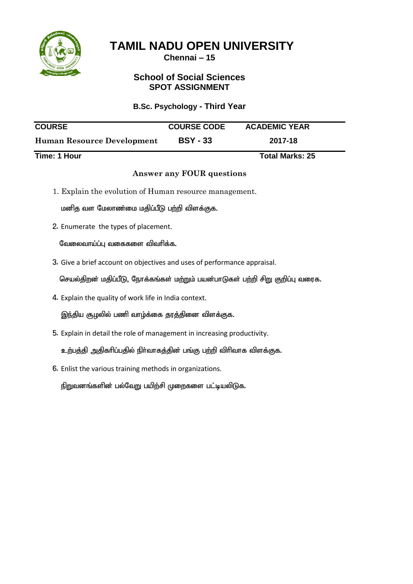

**Chennai – 15**

# **School of Social Sciences SPOT ASSIGNMENT**

## **B.Sc. Psychology - Third Year**

| <b>COURSE</b>                     | <b>COURSE CODE</b> | <b>ACADEMIC YEAR</b>   |
|-----------------------------------|--------------------|------------------------|
| <b>Human Resource Development</b> | <b>BSY - 33</b>    | 2017-18                |
| Time: 1 Hour                      |                    | <b>Total Marks: 25</b> |

#### **Answer any FOUR questions**

1. Explain the evolution of Human resource management.

மனித வள மேலாண்மை மதிப்பீடு பற்றி விளக்குக.

2. Enumerate the types of placement.

வேலைவாய்ப்பு வகைகளை விவரிக்க.

3. Give a brief account on objectives and uses of performance appraisal.

செயல்திறன் மதிப்பீடு, நோக்கங்கள் மற்றும் பயன்பாடுகள் பற்றி சிறு குறிப்பு வரைக.

4. Explain the quality of work life in India context.

இந்திய சூழலில் பணி வாழ்க்கை தரத்தினை விளக்குக.

5. Explain in detail the role of management in increasing productivity.

உற்பத்தி அதிகரிப்பதில் நிர்வாகத்தின் பங்கு பற்றி விரிவாக விளக்குக.

6. Enlist the various training methods in organizations.

நிறுவனங்களின் பல்வேறு பயிற்சி முறைகளை பட்டியலிடுக.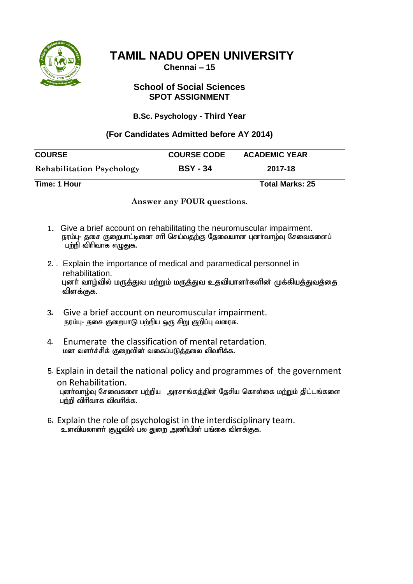

**Chennai – 15**

# **School of Social Sciences SPOT ASSIGNMENT**

# **B.Sc. Psychology - Third Year**

# **(For Candidates Admitted before AY 2014)**

| <b>COURSE</b>                    | <b>COURSE CODE</b> | <b>ACADEMIC YEAR</b>   |  |
|----------------------------------|--------------------|------------------------|--|
| <b>Rehabilitation Psychology</b> | <b>BSY - 34</b>    | 2017-18                |  |
| Time: 1 Hour                     |                    | <b>Total Marks: 25</b> |  |

#### **Answer any FOUR questions.**

- **1.** Give a brief account on rehabilitating the neuromuscular impairment. நரம்பு- தசை குறைபாட்டினை சரி செய்வதற்கு தேவையான புனர்வாழ்வு சேவைகளைப் பற்றி விரிவாக எழுதுக.
- 2. . Explain the importance of medical and paramedical personnel in rehabilitation. புனா் வாழ்வில் மருத்துவ மற்றும் மருத்துவ உதவியாளா்களின் முக்கியத்துவத்தை விளக்குக.
- 3. Give a brief account on neuromuscular impairment. நரம்பு- தசை குறைபாடு பற்றிய ஒரு சிறு குறிப்பு வரைக.
- 4. Enumerate the classification of mental retardation. மன வளர்ச்சிக் குறைவின் வகைப்படுத்தலை விவரிக்க.
- 5. Explain in detail the national policy and programmes of the government on Rehabilitation. புனர்வாழ்வு சேவைகளை பற்றிய அரசாங்கத்தின் தேசிய கொள்கை மற்றும் திட்டங்களை பற்றி விரிவாக விவரிக்க.
- 6. Explain the role of psychologist in the interdisciplinary team. உளவியலாளா் குழுவில் பல துறை அணியின் பங்கை விளக்குக.